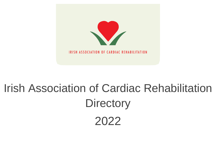

## Irish Association of Cardiac Rehabilitation **Directory** 2022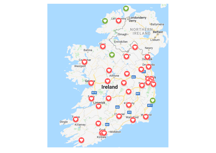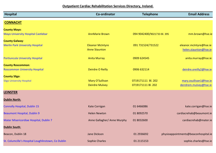**Outpatient Cardiac Rehabilitation Services Directory, Ireland.**

| Hospital                                                         | Co-ordinator                                    | <b>Telephone</b>                         | <b>Email Address</b>                             |
|------------------------------------------------------------------|-------------------------------------------------|------------------------------------------|--------------------------------------------------|
| <b>CONNACHT</b>                                                  |                                                 |                                          |                                                  |
| <b>County Mayo:</b><br><b>Mayo University Hospital Castlebar</b> | <b>AnnMarie Brown</b>                           | 094 9042400/9021733 Bl. 395              | mm.brown@hse.ie                                  |
| <b>County Galway:</b><br><b>Merlin Park University Hospital</b>  | <b>Eleanor McIntyre</b><br><b>Anne Staunton</b> | 091 731524/731522                        | eleanor.mcIntyre@hse.ie<br>helen.staunton@hse.ie |
| <b>Portiuncula University Hospital</b>                           | <b>Anita Murray</b>                             | 0909 624545                              | anita.murray@hse.ie                              |
| <b>County Roscommon:</b><br><b>Roscommon University Hospital</b> | <b>Deirdre O Reilly</b>                         | 0906 632114                              | deirdre.oreilly2@hse.ie                          |
| <b>County Sligo:</b>                                             |                                                 |                                          |                                                  |
| <b>Sligo University Hospital</b>                                 | Mary O'Sullivan<br><b>Deirdre Mulvey</b>        | 0719171111 Bl. 202<br>0719171111 Bl. 202 | mary.osullivan1@hse.ie<br>deirdrem.mulvey@hse.ie |
| <b>LEINSTER</b>                                                  |                                                 |                                          |                                                  |
| <b>Dublin North:</b>                                             |                                                 |                                          |                                                  |
| <b>Connolly Hospital, Dublin 15</b>                              | Kate Corrigan                                   | 01 64 66086                              | kate.corrigan@hse.ie                             |
| <b>Beaumont Hospital, Dublin 9</b>                               | <b>Helen Newton</b>                             | 01 8092570                               | cardiacrehab@beaumont.ie                         |
| Mater Misericordiae Hospital, Dublin 7                           | Anne Gallagher/ Anne Murphy                     | 01 8032600                               | cardiacrehab@mater.ie                            |
| <b>Dublin South:</b>                                             |                                                 |                                          |                                                  |
| Beacon, Dublin 18                                                | Jane Dickson                                    | 01 2936692                               | physioappointments@beaconhospital.ie             |
| St. Columcille's Hospital Loughlinstown, Co Dublin               | Sophie Charles                                  | 01 2115153                               | sophie.charles@hse.ie                            |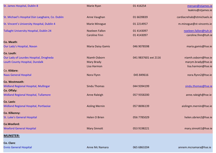| St. James Hospital, Dublin 8                     | Marie Ryan            | 01 41 6254           | meryan@stjames.ie          |
|--------------------------------------------------|-----------------------|----------------------|----------------------------|
|                                                  |                       |                      | leakins@stjames.ie         |
| St. Michael's Hospital Dún Laoghaire, Co. Dublin | Anne Vaughan          | 01 6639839           | cardiacrehab@stmichaels.ie |
| St. Vincent's University Hospital, Dublin 4      | <b>Marie Minogue</b>  | 01 2214957           | m.minogue@st-vincents.ie   |
| <b>Tallaght University Hospital, Dublin 24</b>   | Noeleen Fallon        | 01 4143097           | noeleen.fallon@tuh.ie      |
|                                                  | <b>Caroline Finn</b>  | 01 4143097           | caroline.finn@tuh.ie       |
| Co. Meath:                                       |                       |                      |                            |
| Our Lady's Hospital, Navan                       | Maria Daisy Gamis     | 046 9078598          | maria.gamis@hse.ie         |
| Co. Louth:                                       |                       |                      |                            |
| Our Lady of Lourdes Hospital, Drogheda           | Niamh Osborn          | 041 9837601 ext 2116 | niamh.osborn@hse.ie        |
| Louth County Hospital, Dundalk                   | <b>Mary Brady</b>     |                      | marym.brady@hse.ie         |
|                                                  | Lisa Harmon           |                      | lisa.harmon@hse.ie         |
| Co. Kildare:                                     |                       |                      |                            |
| <b>Naas General Hospital</b>                     | Nora Flynn            | 045 849616           | nora.flynn2@hse.ie         |
| Co. Westmeath:                                   |                       |                      |                            |
| <b>Midland Regional Hospital, Mullingar</b>      | <b>Sindu Thomas</b>   | 044 9394199          | sindu.thomas@hse.ie        |
| Co. Offaly:                                      |                       |                      |                            |
| Midland Regional Hospital, Tullamore             | Anne Raleigh          | 057 9358200          | anne.raleigh@hse.ie        |
| Co. Laois:                                       |                       |                      |                            |
| Midland Regional Hospital, Portlaoise            | <b>Aisling Mernin</b> | 057 8696139          | aislingm.mernin@hse.ie     |
| Co. Kilkenny:                                    |                       |                      |                            |
| St. Luke's General Hospital                      | Helen O Brien         | 056 7785029          | helen.obrien2@hse.ie       |
| <b>Co.Wexford:</b>                               |                       |                      |                            |
| <b>Wexford General Hospital</b>                  | <b>Mary Sinnott</b>   | 053 9198221          | mary.sinnott1@hse.ie       |
| <b>MUNSTER:</b>                                  |                       |                      |                            |
| Co. Clare:                                       |                       |                      |                            |
| <b>Ennis General Hospital</b>                    | Anne Mc Namara        | 065 6863204          | annem.mcnamara@hse.ie      |